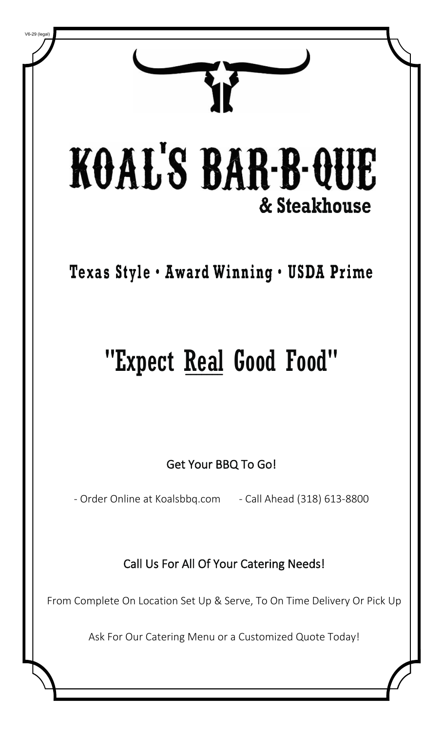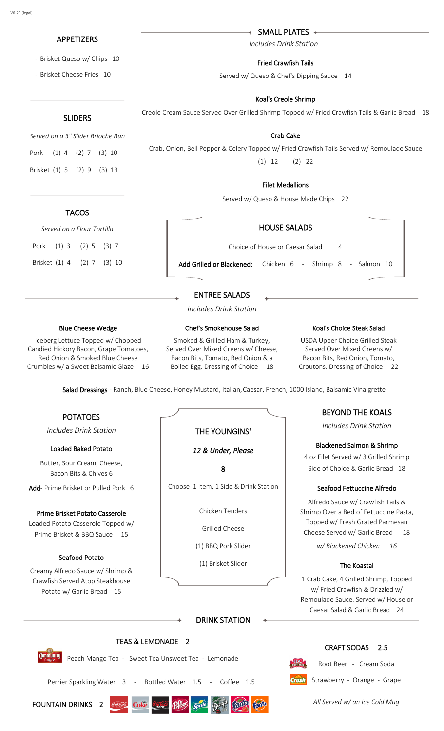# APPETIZERS

- Brisket Queso w/ Chips 10
- Brisket Cheese Fries 10

# SLIDERS

*Served on a 3" Slider Brioche Bun*

Pork (1) 4 (2) 7 (3) 10 Brisket (1) 5 (2) 9 (3) 13

# **TACOS**

*Served on a Flour Tortilla* Pork (1) 3 (2) 5 (3) 7

Brisket (1) 4 (2) 7 (3) 10

SMALL PLATES

*Includes Drink Station*

## Fried Crawfish Tails

Served w/ Queso & Chef's Dipping Sauce 14

## Koal's Creole Shrimp

Creole Cream Sauce Served Over Grilled Shrimp Topped w/ Fried Crawfish Tails & Garlic Bread 18

Crab Cake Crab, Onion, Bell Pepper & Celery Topped w/ Fried Crawfish Tails Served w/ Remoulade Sauce (1) 12 (2) 22

## Filet Medallions

Served w/ Queso & House Made Chips 22

## HOUSE SALADS

Choice of House or Caesar Salad 4

Add Grilled or Blackened: Chicken 6 - Shrimp 8 - Salmon 10

# ENTREE SALADS

*Includes Drink Station*

Chef's Smokehouse Salad

#### Blue Cheese Wedge

Iceberg Lettuce Topped w/ Chopped Candied Hickory Bacon, Grape Tomatoes, Red Onion & Smoked Blue Cheese Crumbles w/ a Sweet Balsamic Glaze 16

## Smoked & Grilled Ham & Turkey, Served Over Mixed Greens w/ Cheese, Bacon Bits, Tomato, Red Onion & a

Boiled Egg. Dressing of Choice 18

### Koal's Choice Steak Salad

USDA Upper Choice Grilled Steak Served Over Mixed Greens w/ Bacon Bits, Red Onion, Tomato, Croutons. Dressing of Choice 22

Salad Dressings - Ranch, Blue Cheese, Honey Mustard, Italian, Caesar, French, 1000 Island, Balsamic Vinaigrette

# POTATOES

*Includes Drink Station*

### Loaded Baked Potato

Butter, Sour Cream, Cheese, Bacon Bits & Chives 6

Add- Prime Brisket or Pulled Pork 6

### Prime Brisket Potato Casserole

Loaded Potato Casserole Topped w/ Prime Brisket & BBQ Sauce 15

## Seafood Potato

Creamy Alfredo Sauce w/ Shrimp & Crawfish Served Atop Steakhouse Potato w/ Garlic Bread 15

# THE YOUNGINS'

## *12 & Under, Please*

8

Choose 1 Item, 1 Side & Drink Station

Chicken Tenders

Grilled Cheese

(1) BBQ Pork Slider

(1) Brisket Slider

# BEYOND THE KOALS

*Includes Drink Station*

### Blackened Salmon & Shrimp

4 oz Filet Served w/ 3 Grilled Shrimp Side of Choice & Garlic Bread 18

### Seafood Fettuccine Alfredo

Alfredo Sauce w/ Crawfish Tails & Shrimp Over a Bed of Fettuccine Pasta, Topped w/ Fresh Grated Parmesan Cheese Served w/ Garlic Bread 18

*w/ Blackened Chicken 16*

### The Koastal

1 Crab Cake, 4 Grilled Shrimp, Topped w/ Fried Crawfish & Drizzled w/ Remoulade Sauce. Served w/ House or Caesar Salad & Garlic Bread 24

CRAFT SODAS 2.5

Root Beer - Cream Soda

# DRINK STATION

# TEAS & LEMONADE 2

Peach Mango Tea - Sweet Tea Unsweet Tea - Lemonade

Perrier Sparkling Water 3 - Bottled Water 1.5 - Coffee 1.5

| FOUNTAIN DRINKS 2 |  | $\epsilon$ |
|-------------------|--|------------|
|                   |  |            |



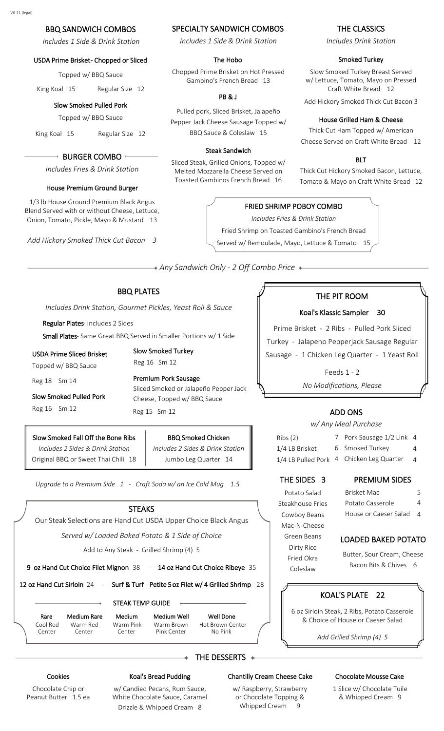# BBQ SANDWICH COMBOS

*Includes 1 Side & Drink Station*

#### USDA Prime Brisket- Chopped or Sliced

Topped w/ BBQ Sauce

King Koal 15 Regular Size 12

### Slow Smoked Pulled Pork

Topped w/ BBQ Sauce

King Koal 15 Regular Size 12

#### + BURGER COMBO +

*Includes Fries & Drink Station*

#### House Premium Ground Burger

1/3 lb House Ground Premium Black Angus Blend Served with or without Cheese, Lettuce, Onion, Tomato, Pickle, Mayo & Mustard 13

*Add Hickory Smoked Thick Cut Bacon 3*

#### SPECIALTY SANDWICH COMBOS

*Includes 1 Side & Drink Station*

#### The Hobo

Chopped Prime Brisket on Hot Pressed Gambino's French Bread 13

#### PB & J

Pulled pork, Sliced Brisket, Jalapeño Pepper Jack Cheese Sausage Topped w/ BBQ Sauce & Coleslaw 15

#### Steak Sandwich

Sliced Steak, Grilled Onions, Topped w/ Melted Mozzarella Cheese Served on Toasted Gambinos French Bread 16

#### THE CLASSICS

*Includes Drink Station*

#### Smoked Turkey

Slow Smoked Turkey Breast Served w/ Lettuce, Tomato, Mayo on Pressed Craft White Bread 12

Add Hickory Smoked Thick Cut Bacon 3

#### House Grilled Ham & Cheese

Thick Cut Ham Topped w/ American Cheese Served on Craft White Bread 12

#### **BLT**

Thick Cut Hickory Smoked Bacon, Lettuce, Tomato & Mayo on Craft White Bread 12

## FRIED SHRIMP POBOY COMBO

*Includes Fries & Drink Station* Fried Shrimp on Toasted Gambino's French Bread Served w/ Remoulade, Mayo, Lettuce & Tomato 15

*Any Sandwich Only - 2 Off Combo Price*

## BBQ PLATES

*Includes Drink Station, Gourmet Pickles, Yeast Roll & Sauce*

Regular Plates- Includes 2 Sides

Small Plates- Same Great BBQ Served in Smaller Portions w/ 1 Side

USDA Prime Sliced Brisket

Slow Smoked Turkey

Premium Pork Sausage

Reg 16 Sm 12

Topped w/ BBQ Sauce

Reg 18 Sm 14

Slow Smoked Pulled Pork

Reg 16 Sm 12

## Slow Smoked Fall Off the Bone Ribs *Includes 2 Sides & Drink Station*

Original BBQ or Sweet Thai Chili 18

BBQ Smoked Chicken *Includes 2 Sides & Drink Station* Jumbo Leg Quarter 14

Sliced Smoked or Jalapeño Pepper Jack

Cheese, Topped w/ BBQ Sauce

*Upgrade to a Premium Side 1 - Craft Soda w/ an Ice Cold Mug 1.5*

#### **STEAKS**

Our Steak Selections are Hand Cut USDA Upper Choice Black Angus

*Served w/ Loaded Baked Potato & 1 Side of Choice*

Add to Any Steak - Grilled Shrimp (4) 5

9 oz Hand Cut Choice Filet Mignon 38 - 14 oz Hand Cut Choice Ribeye 35

12 oz Hand Cut Sirloin 24 - Surf & Turf - Petite 5 oz Filet w/ 4 Grilled Shrimp 28

Rare

Center

STEAK TEMP GUIDE

Cool Red Medium Rare Warm Red Center

Warm Brown Pink Center

Well Done Hot Brown Center No Pink

THE DESSERTS 4

#### Chantilly Cream Cheese Cake

w/ Raspberry, Strawberry or Chocolate Topping & Whipped Cream 9

#### Chocolate Mousse Cake

1 Slice w/ Chocolate Tuile & Whipped Cream 9

Chocolate Chip or Peanut Butter 1.5 ea

Cookies

w/ Candied Pecans, Rum Sauce, White Chocolate Sauce, Caramel Drizzle & Whipped Cream 8

Koal's Bread Pudding

THE PIT ROOM

#### Koal's Klassic Sampler 30

Prime Brisket - 2 Ribs - Pulled Pork Sliced Turkey - Jalapeno Pepperjack Sausage Regular Sausage - 1 Chicken Leg Quarter - 1 Yeast Roll

> Feeds 1 - 2 *No Modifications, Please*

## Reg 15 Sm 12 **ADD ONS**

## *w/ Any Meal Purchase*

| Ribs(2)        | 7 Pork Sausage 1/2 Link 4                |                |
|----------------|------------------------------------------|----------------|
| 1/4 LB Brisket | 6 Smoked Turkey                          | 4              |
|                | 1/4 LB Pulled Pork 4 Chicken Leg Quarter | $\overline{4}$ |

Brisket Mac Potato Casserole House or Caeser Salad

# THE SIDES 3 PREMIUM SIDES

Potato Salad Steakhouse Fries Cowboy Beans Mac-N-Cheese Green Beans Dirty Rice Fried Okra

LOADED BAKED POTATO Butter, Sour Cream, Cheese

5 4 4

Bacon Bits & Chives 6

### KOAL'S PLATE 22

6 oz Sirloin Steak, 2 Ribs, Potato Casserole & Choice of House or Caeser Salad

*Add Grilled Shrimp (4) 5*

Coleslaw

Medium Warm Pink Center Medium Well